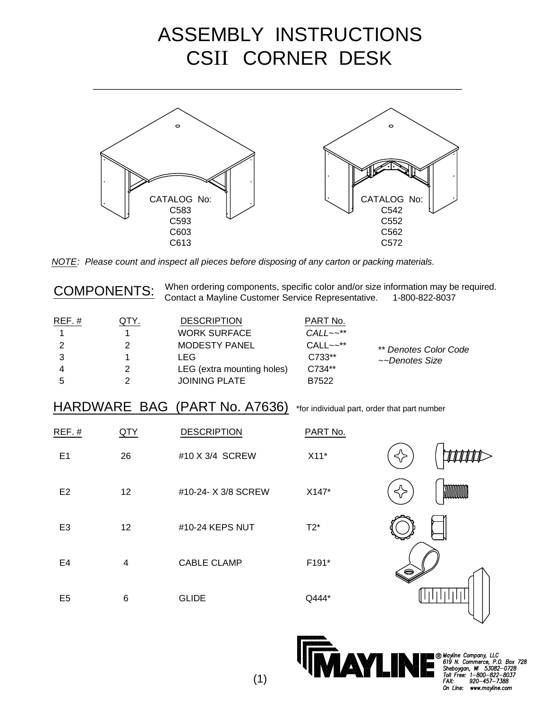## ASSEMBLY INSTRUCTIONS CSII CORNER DESK



NOTE: Please count and inspect all pieces before disposing of any carton or packing materials.

| <b>COMPONENTS:</b> |
|--------------------|
|--------------------|

When ordering components, specific color and/or size information may be required. Contact a Mayline Customer Service Representative. 1-800-822-8037

| $REF.$ # | QTY. | <b>DESCRIPTION</b>         | PART No.                |                       |
|----------|------|----------------------------|-------------------------|-----------------------|
|          |      | <b>WORK SURFACE</b>        | $CALL \sim \star \star$ |                       |
|          |      | <b>MODESTY PANEL</b>       | $CALL \sim^*$           | ** Denotes Color Code |
|          |      | I FG.                      | C733**                  | ~~Denotes Size        |
|          |      | LEG (extra mounting holes) | C734**                  |                       |
|          |      | <b>JOINING PLATE</b>       | B7522                   |                       |

## HARDWARE BAG (PART No. A7636) \*for individual part, order that part number

| REF.#          | QTY                     | <b>DESCRIPTION</b>  | PART No. |    |
|----------------|-------------------------|---------------------|----------|----|
| E <sub>1</sub> | 26                      | #10 X 3/4 SCREW     | $X11*$   | ⊰≻ |
| E <sub>2</sub> | 12                      | #10-24- X 3/8 SCREW | X147*    | <> |
| E <sub>3</sub> | 12                      | #10-24 KEPS NUT     | $T2^*$   |    |
| E4             | $\overline{\mathbf{4}}$ | <b>CABLE CLAMP</b>  | F191*    | (⊜ |
| E <sub>5</sub> | $\,6$                   | <b>GLIDE</b>        | Q444*    |    |



**8 Mayline Company, LLC**<br>619 N. Commerce, P.O. Box 728<br>Sheboygan, W. 53082-0728<br>Tall Free: 1-800-622-8037<br>Tall Free: 1-800-622-7308  $920 - 457 - 7388$ On Line: www.mayline.com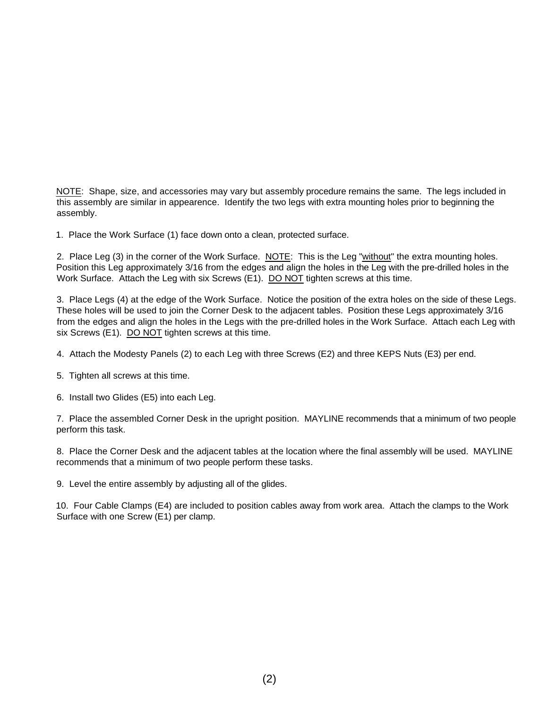NOTE: Shape, size, and accessories may vary but assembly procedure remains the same. The legs included in this assembly are similar in appearence. Identify the two legs with extra mounting holes prior to beginning the assembly.

1. Place the Work Surface (1) face down onto a clean, protected surface.

2. Place Leg (3) in the corner of the Work Surface. NOTE: This is the Leg "without" the extra mounting holes. Position this Leg approximately 3/16 from the edges and align the holes in the Leg with the pre-drilled holes in the Work Surface. Attach the Leg with six Screws (E1). DO NOT tighten screws at this time.

3. Place Legs (4) at the edge of the Work Surface. Notice the position of the extra holes on the side of these Legs. These holes will be used to join the Corner Desk to the adjacent tables. Position these Legs approximately 3/16 from the edges and align the holes in the Legs with the pre-drilled holes in the Work Surface. Attach each Leg with six Screws (E1). DO NOT tighten screws at this time.

- 4. Attach the Modesty Panels (2) to each Leg with three Screws (E2) and three KEPS Nuts (E3) per end.
- 5. Tighten all screws at this time.
- 6. Install two Glides (E5) into each Leg.

7. Place the assembled Corner Desk in the upright position. MAYLINE recommends that a minimum of two people perform this task.

8. Place the Corner Desk and the adjacent tables at the location where the final assembly will be used. MAYLINE recommends that a minimum of two people perform these tasks.

9. Level the entire assembly by adjusting all of the glides.

10. Four Cable Clamps (E4) are included to position cables away from work area. Attach the clamps to the Work Surface with one Screw (E1) per clamp.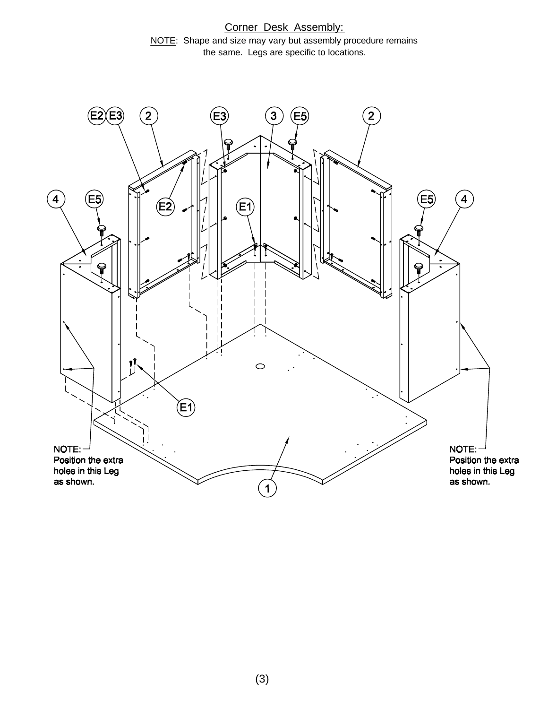Corner Desk Assembly: NOTE: Shape and size may vary but assembly procedure remains the same. Legs are specific to locations.